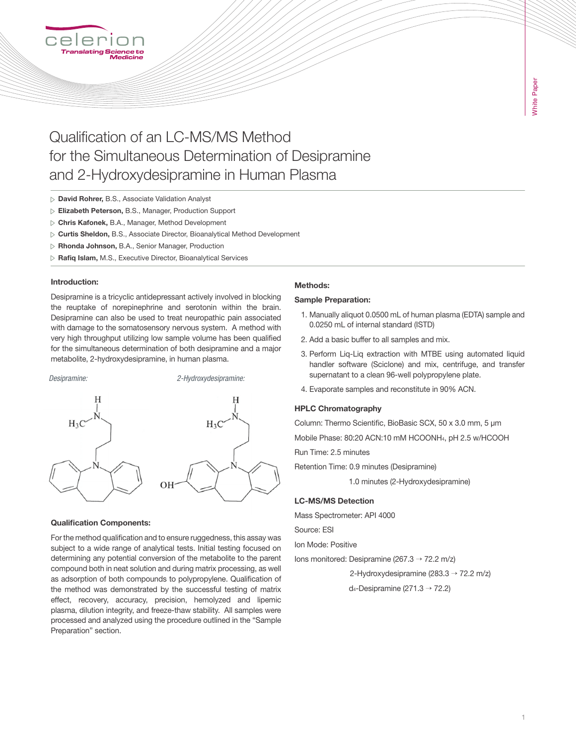

# Qualification of an LC-MS/MS Method for the Simultaneous Determination of Desipramine and 2-Hydroxydesipramine in Human Plasma

- David Rohrer, B.S., Associate Validation Analyst
- Elizabeth Peterson, B.S., Manager, Production Support
- Chris Kafonek, B.A., Manager, Method Development
- $\triangleright$  Curtis Sheldon, B.S., Associate Director, Bioanalytical Method Development
- Rhonda Johnson, B.A., Senior Manager, Production
- $\triangleright$  Rafiq Islam, M.S., Executive Director, Bioanalytical Services

#### Introduction:

Desipramine is a tricyclic antidepressant actively involved in blocking the reuptake of norepinephrine and serotonin within the brain. Desipramine can also be used to treat neuropathic pain associated with damage to the somatosensory nervous system. A method with very high throughput utilizing low sample volume has been qualified for the simultaneous determination of both desipramine and a major metabolite, 2-hydroxydesipramine, in human plasma.



#### Qualification Components:

For the method qualification and to ensure ruggedness, this assay was subject to a wide range of analytical tests. Initial testing focused on determining any potential conversion of the metabolite to the parent compound both in neat solution and during matrix processing, as well as adsorption of both compounds to polypropylene. Qualification of the method was demonstrated by the successful testing of matrix effect, recovery, accuracy, precision, hemolyzed and lipemic plasma, dilution integrity, and freeze-thaw stability. All samples were processed and analyzed using the procedure outlined in the "Sample Preparation" section.

#### Methods:

#### Sample Preparation:

- 1. Manually aliquot 0.0500 mL of human plasma (EDTA) sample and 0.0250 mL of internal standard (ISTD)
- 2. Add a basic buffer to all samples and mix.
- 3. Perform Liq-Liq extraction with MTBE using automated liquid handler software (Sciclone) and mix, centrifuge, and transfer supernatant to a clean 96-well polypropylene plate.
- 4. Evaporate samples and reconstitute in 90% ACN.

#### HPLC Chromatography

Column: Thermo Scientific, BioBasic SCX, 50 x 3.0 mm, 5 μm

Mobile Phase: 80:20 ACN:10 mM HCOONH4, pH 2.5 w/HCOOH

Run Time: 2.5 minutes

Retention Time: 0.9 minutes (Desipramine)

1.0 minutes (2-Hydroxydesipramine)

#### LC-MS/MS Detection

Mass Spectrometer: API 4000

Source: ESI

Ion Mode: Positive

Ions monitored: Desipramine (267.3 → 72.2 m/z)

2-Hydroxydesipramine (283.3  $\rightarrow$  72.2 m/z)

d<sub>4</sub>-Desipramine (271.3  $\rightarrow$  72.2)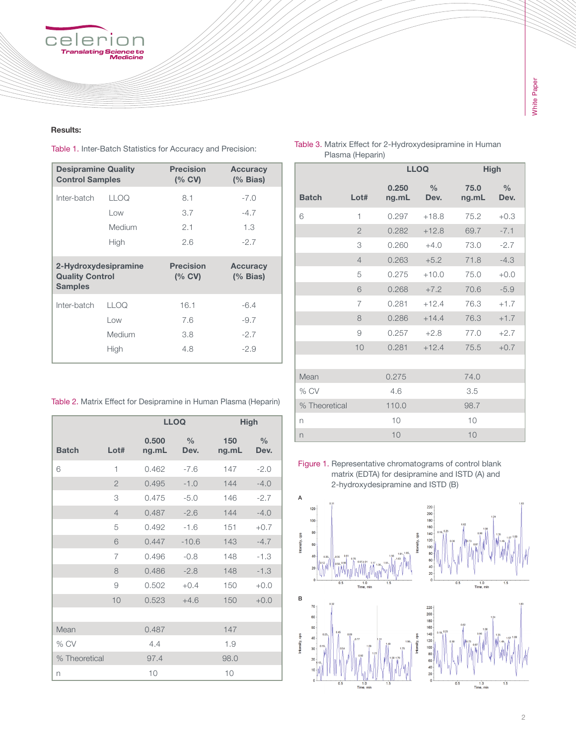## celer וי ว r ٦ Translating Science to<br>Translating Science to<br>Medicine

### Results:

Table 1. Inter-Batch Statistics for Accuracy and Precision:

| <b>Desipramine Quality</b><br><b>Control Samples</b>             |        | <b>Precision</b><br>$(%$ CV) | <b>Accuracy</b><br>$%$ Bias) |
|------------------------------------------------------------------|--------|------------------------------|------------------------------|
| Inter-batch                                                      | LLOQ   | 8.1                          | $-7.0$                       |
|                                                                  | Low    | 3.7                          | $-4.7$                       |
|                                                                  | Medium | 2.1                          | 1.3                          |
|                                                                  | High   | 2.6                          | $-2.7$                       |
| 2-Hydroxydesipramine<br><b>Quality Control</b><br><b>Samples</b> |        | <b>Precision</b><br>$(%$ CV) | <b>Accuracy</b><br>(% Bias)  |
| Inter-batch                                                      | LLOQ   | 16.1                         | $-6.4$                       |
|                                                                  | Low    | 7.6                          | $-9.7$                       |
|                                                                  | Medium | 3.8                          | $-2.7$                       |
|                                                                  | High   | 4.8                          | $-2.9$                       |

|                  | Table 3. Matrix Effect for 2-Hydroxydesipramine in Human |
|------------------|----------------------------------------------------------|
| Plasma (Heparin) |                                                          |

|               |                | <b>LLOQ</b>    |                       | <b>High</b>   |                       |
|---------------|----------------|----------------|-----------------------|---------------|-----------------------|
| <b>Batch</b>  | Lot#           | 0.250<br>ng.mL | $\frac{0}{0}$<br>Dev. | 75.0<br>ng.mL | $\frac{0}{0}$<br>Dev. |
| 6             | 1              | 0.297          | $+18.8$               | 75.2          | $+0.3$                |
|               | $\overline{2}$ | 0.282          | $+12.8$               | 69.7          | $-7.1$                |
|               | 3              | 0.260          | $+4.0$                | 73.0          | $-2.7$                |
|               | $\overline{4}$ | 0.263          | $+5.2$                | 71.8          | $-4.3$                |
|               | 5              | 0.275          | $+10.0$               | 75.0          | $+0.0$                |
|               | 6              | 0.268          | $+7.2$                | 70.6          | $-5.9$                |
|               | 7              | 0.281          | $+12.4$               | 76.3          | $+1.7$                |
|               | 8              | 0.286          | $+14.4$               | 76.3          | $+1.7$                |
|               | 9              | 0.257          | $+2.8$                | 77.0          | $+2.7$                |
|               | 10             | 0.281          | $+12.4$               | 75.5          | $+0.7$                |
|               |                |                |                       |               |                       |
| Mean          |                | 0.275          |                       | 74.0          |                       |
| % CV          |                | 4.6            |                       | 3.5           |                       |
| % Theoretical |                | 110.0          |                       | 98.7          |                       |
| n             |                | 10             |                       | 10            |                       |
| $\Gamma$      |                | 10             |                       | 10            |                       |

Table 2. Matrix Effect for Desipramine in Human Plasma (Heparin)

|               |                | <b>LLOQ</b>    |                       | <b>High</b>  |                       |
|---------------|----------------|----------------|-----------------------|--------------|-----------------------|
| <b>Batch</b>  | Lot#           | 0.500<br>ng.mL | $\frac{0}{0}$<br>Dev. | 150<br>ng.mL | $\frac{0}{0}$<br>Dev. |
| 6             | 1              | 0.462          | $-7.6$                | 147          | $-2.0$                |
|               | $\overline{2}$ | 0.495          | $-1.0$                | 144          | $-4.0$                |
|               | 3              | 0.475          | $-5.0$                | 146          | $-2.7$                |
|               | $\overline{4}$ | 0.487          | $-2.6$                | 144          | $-4.0$                |
|               | 5              | 0.492          | $-1.6$                | 151          | $+0.7$                |
|               | 6              | 0.447          | $-10.6$               | 143          | $-4.7$                |
|               | 7              | 0.496          | $-0.8$                | 148          | $-1.3$                |
|               | 8              | 0.486          | $-2.8$                | 148          | $-1.3$                |
|               | 9              | 0.502          | $+0.4$                | 150          | $+0.0$                |
|               | 10             | 0.523          | $+4.6$                | 150          | $+0.0$                |
|               |                |                |                       |              |                       |
| Mean          |                | 0.487          |                       | 147          |                       |
| % CV          |                | 4.4            |                       | 1.9          |                       |
| % Theoretical |                | 97.4           |                       | 98.0         |                       |
| n             |                | 10             |                       | 10           |                       |

Figure 1. Representative chromatograms of control blank matrix (EDTA) for desipramine and ISTD (A) and 2-hydroxydesipramine and ISTD (B)